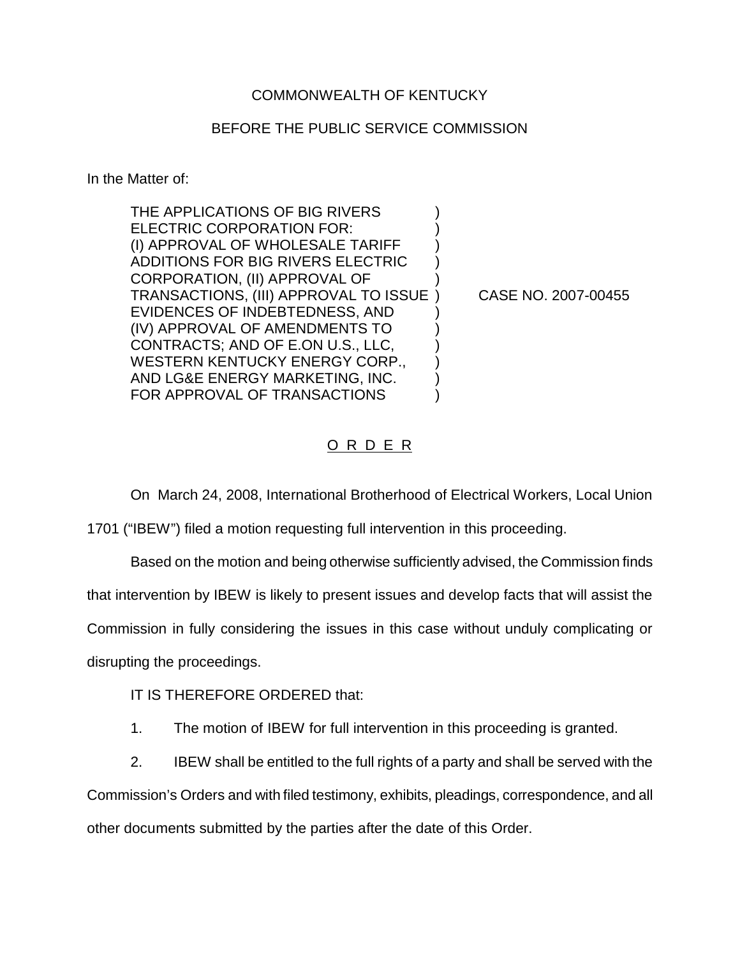## COMMONWEALTH OF KENTUCKY

## BEFORE THE PUBLIC SERVICE COMMISSION

In the Matter of:

THE APPLICATIONS OF BIG RIVERS ELECTRIC CORPORATION FOR: (I) APPROVAL OF WHOLESALE TARIFF ) ADDITIONS FOR BIG RIVERS ELECTRIC ) CORPORATION, (II) APPROVAL OF ) TRANSACTIONS, (III) APPROVAL TO ISSUE ) CASE NO. 2007-00455 EVIDENCES OF INDEBTEDNESS, AND ) (IV) APPROVAL OF AMENDMENTS TO ) CONTRACTS; AND OF E.ON U.S., LLC, ) WESTERN KENTUCKY ENERGY CORP., AND LG&E ENERGY MARKETING, INC. ) FOR APPROVAL OF TRANSACTIONS

## O R D E R

On March 24, 2008, International Brotherhood of Electrical Workers, Local Union 1701 ("IBEW") filed a motion requesting full intervention in this proceeding.

Based on the motion and being otherwise sufficiently advised, the Commission finds that intervention by IBEW is likely to present issues and develop facts that will assist the Commission in fully considering the issues in this case without unduly complicating or disrupting the proceedings.

IT IS THEREFORE ORDERED that:

- 1. The motion of IBEW for full intervention in this proceeding is granted.
- 2. IBEW shall be entitled to the full rights of a party and shall be served with the Commission's Orders and with filed testimony, exhibits, pleadings, correspondence, and all

other documents submitted by the parties after the date of this Order.